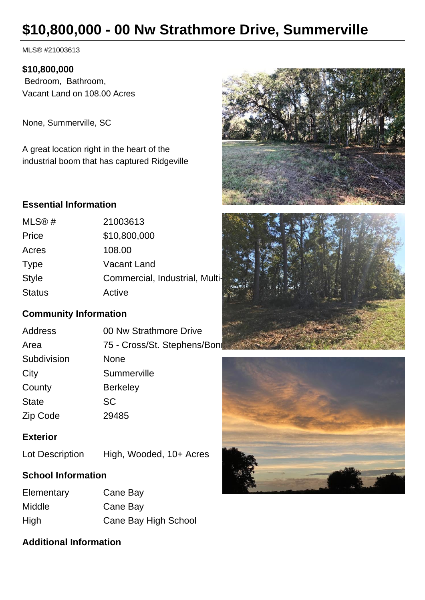# **\$10,800,000 - 00 Nw Strathmore Drive, Summerville**

MLS® #21003613

#### **\$10,800,000**

 Bedroom, Bathroom, Vacant Land on 108.00 Acres

None, Summerville, SC

A great location right in the heart of the industrial boom that has captured Ridgeville

## **Essential Information**

| MLS@#         | 21003613                       |  |
|---------------|--------------------------------|--|
| Price         | \$10,800,000                   |  |
| Acres         | 108.00                         |  |
| <b>Type</b>   | <b>Vacant Land</b>             |  |
| <b>Style</b>  | Commercial, Industrial, Multi- |  |
| <b>Status</b> | Active                         |  |

## **Community Information**

| <b>Address</b> | 00 Nw Strathmore Drive       |  |
|----------------|------------------------------|--|
| Area           | 75 - Cross/St. Stephens/Bonr |  |
| Subdivision    | <b>None</b>                  |  |
| City           | Summerville                  |  |
| County         | <b>Berkeley</b>              |  |
| <b>State</b>   | <b>SC</b>                    |  |
| Zip Code       | 29485                        |  |

## **Exterior**

Lot Description High, Wooded, 10+ Acres

## **School Information**

| Elementary | Cane Bay             |
|------------|----------------------|
| Middle     | Cane Bay             |
| High       | Cane Bay High School |

## **Additional Information**